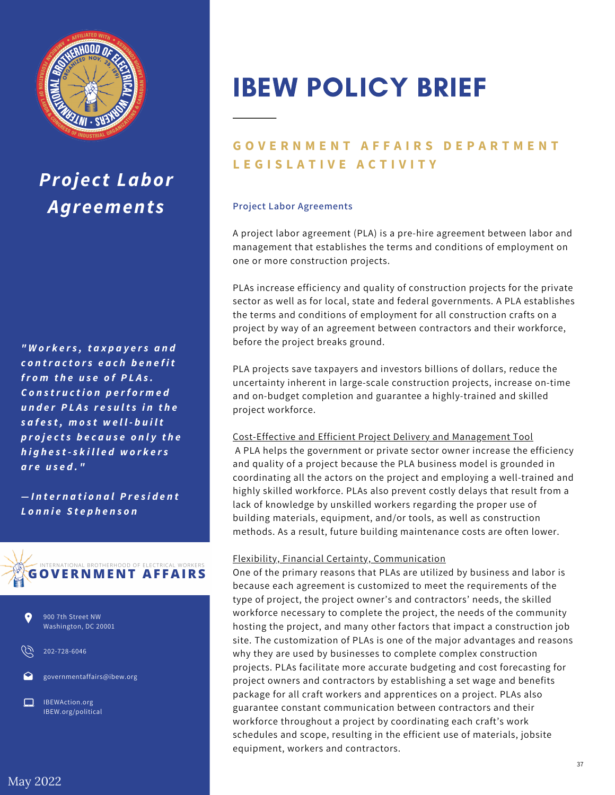

## *Project Labor Agreements*

*" W o r k e r s , t a x p a y e r s a n d c o n tr a c t o r s e a c h b e n e f i t fr o m t h e u s e o f P L A s . C o n s tr u c t i o n p e rf o r m e d u n d e r P L A s r e s u lt s i n t h e s a f e s t , m o s t w e l l - b u il t p r o je c t s b e c a u s e o n l y t h e h i g h e s t - s k il l e d w o r k e r s a r e u s e d . "*

 $-$ *International President L o n n ie S t e p h e n s o n*





202-728-6046

governmentaffairs@ibew.org

IBEWAction.org IBEW.org/political

# IBEW POLICY BRIEF

### **GOVERNMENT AFFAIRS DEPARTMENT L E G I S L A T I V E A C T I V I T Y**

#### **Project Labor Agreements**

A project labor agreement (PLA) is a pre-hire agreement between labor and management that establishes the terms and conditions of employment on one or more construction projects.

PLAs increase efficiency and quality of construction projects for the private sector as well as for local, state and federal governments. A PLA establishes the terms and conditions of employment for all construction crafts on a project by way of an agreement between contractors and their workforce, before the project breaks ground.

PLA projects save taxpayers and investors billions of dollars, reduce the uncertainty inherent in large-scale construction projects, increase on-time and on-budget completion and guarantee a highly-trained and skilled project workforce.

#### Cost-Effective and Efficient Project Delivery and Management Tool

A PLA helps the government or private sector owner increase the efficiency and quality of a project because the PLA business model is grounded in coordinating all the actors on the project and employing a well-trained and highly skilled workforce. PLAs also prevent costly delays that result from a lack of knowledge by unskilled workers regarding the proper use of building materials, equipment, and/or tools, as well as construction methods. As a result, future building maintenance costs are often lower.

#### Flexibility, Financial Certainty, Communication

One of the primary reasons that PLAs are utilized by business and labor is because each agreement is customized to meet the requirements of the type of project, the project owner's and contractors' needs, the skilled workforce necessary to complete the project, the needs of the community hosting the project, and many other factors that impact a construction job site. The customization of PLAs is one of the major advantages and reasons why they are used by businesses to complete complex construction projects. PLAs facilitate more accurate budgeting and cost forecasting for project owners and contractors by establishing a set wage and benefits package for all craft workers and apprentices on a project. PLAs also guarantee constant communication between contractors and their workforce throughout a project by coordinating each craft's work schedules and scope, resulting in the efficient use of materials, jobsite equipment, workers and contractors.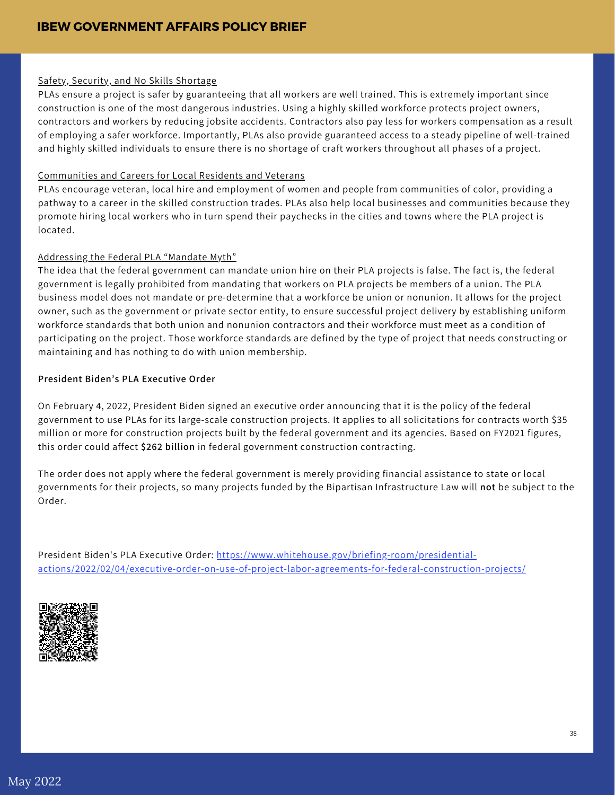#### Safety, Security, and No Skills Shortage

PLAs ensure a project is safer by guaranteeing that all workers are well trained. This is extremely important since construction is one of the most dangerous industries. Using a highly skilled workforce protects project owners, contractors and workers by reducing jobsite accidents. Contractors also pay less for workers compensation as a result of employing a safer workforce. Importantly, PLAs also provide guaranteed access to a steady pipeline of well-trained and highly skilled individuals to ensure there is no shortage of craft workers throughout all phases of a project.

#### Communities and Careers for Local Residents and Veterans

PLAs encourage veteran, local hire and employment of women and people from communities of color, providing a pathway to a career in the skilled construction trades. PLAs also help local businesses and communities because they promote hiring local workers who in turn spend their paychecks in the cities and towns where the PLA project is located.

#### Addressing the Federal PLA "Mandate Myth"

The idea that the federal government can mandate union hire on their PLA projects is false. The fact is, the federal government is legally prohibited from mandating that workers on PLA projects be members of a union. The PLA business model does not mandate or pre-determine that a workforce be union or nonunion. It allows for the project owner, such as the government or private sector entity, to ensure successful project delivery by establishing uniform workforce standards that both union and nonunion contractors and their workforce must meet as a condition of participating on the project. Those workforce standards are defined by the type of project that needs constructing or maintaining and has nothing to do with union membership.

#### **President Biden's PLA Executive Order**

On February 4, 2022, President Biden signed an executive order announcing that it is the policy of the federal government to use PLAs for its large-scale construction projects. It applies to all solicitations for contracts worth \$35 million or more for construction projects built by the federal government and its agencies. Based on FY2021 figures, this order could affect **\$262 billion** in federal government construction contracting.

The order does not apply where the federal government is merely providing financial assistance to state or local governments for their projects, so many projects funded by the Bipartisan Infrastructure Law will **not** be subject to the Order.

President Biden's PLA Executive Order: https://www.whitehouse.gov/briefing-room/presidential[actions/2022/02/04/executive-order-on-use-of-project-labor-agreements-for-federal-construction-projects/](https://www.whitehouse.gov/briefing-room/presidential-actions/2022/02/04/executive-order-on-use-of-project-labor-agreements-for-federal-construction-projects/)